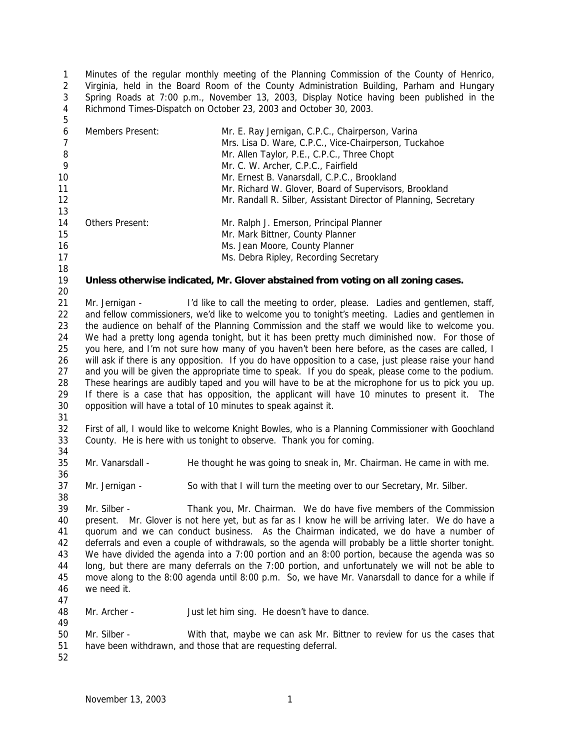Minutes of the regular monthly meeting of the Planning Commission of the County of Henrico, Virginia, held in the Board Room of the County Administration Building, Parham and Hungary Spring Roads at 7:00 p.m., November 13, 2003, Display Notice having been published in the Richmond Times-Dispatch on October 23, 2003 and October 30, 2003. 

| 6              | Members Present:                                                                                      | Mr. E. Ray Jernigan, C.P.C., Chairperson, Varina                                                   |  |
|----------------|-------------------------------------------------------------------------------------------------------|----------------------------------------------------------------------------------------------------|--|
| $\overline{7}$ |                                                                                                       | Mrs. Lisa D. Ware, C.P.C., Vice-Chairperson, Tuckahoe                                              |  |
| $\, 8$         |                                                                                                       | Mr. Allen Taylor, P.E., C.P.C., Three Chopt                                                        |  |
| 9              |                                                                                                       | Mr. C. W. Archer, C.P.C., Fairfield                                                                |  |
| 10             |                                                                                                       | Mr. Ernest B. Vanarsdall, C.P.C., Brookland                                                        |  |
| 11             |                                                                                                       | Mr. Richard W. Glover, Board of Supervisors, Brookland                                             |  |
| 12             |                                                                                                       | Mr. Randall R. Silber, Assistant Director of Planning, Secretary                                   |  |
| 13             |                                                                                                       |                                                                                                    |  |
| 14             | Others Present:                                                                                       | Mr. Ralph J. Emerson, Principal Planner                                                            |  |
| 15             |                                                                                                       | Mr. Mark Bittner, County Planner                                                                   |  |
| 16             |                                                                                                       | Ms. Jean Moore, County Planner                                                                     |  |
| 17             |                                                                                                       | Ms. Debra Ripley, Recording Secretary                                                              |  |
| 18             |                                                                                                       |                                                                                                    |  |
|                |                                                                                                       |                                                                                                    |  |
| 19             |                                                                                                       | Unless otherwise indicated, Mr. Glover abstained from voting on all zoning cases.                  |  |
| 20             |                                                                                                       |                                                                                                    |  |
| 21             | Mr. Jernigan -                                                                                        | I'd like to call the meeting to order, please. Ladies and gentlemen, staff,                        |  |
| 22             |                                                                                                       | and fellow commissioners, we'd like to welcome you to tonight's meeting. Ladies and gentlemen in   |  |
| 23             |                                                                                                       | the audience on behalf of the Planning Commission and the staff we would like to welcome you.      |  |
| 24             |                                                                                                       | We had a pretty long agenda tonight, but it has been pretty much diminished now. For those of      |  |
| 25             | you here, and I'm not sure how many of you haven't been here before, as the cases are called, I       |                                                                                                    |  |
| 26             | will ask if there is any opposition. If you do have opposition to a case, just please raise your hand |                                                                                                    |  |
| 27             | and you will be given the appropriate time to speak. If you do speak, please come to the podium.      |                                                                                                    |  |
| 28             | These hearings are audibly taped and you will have to be at the microphone for us to pick you up.     |                                                                                                    |  |
| 29             | If there is a case that has opposition, the applicant will have 10 minutes to present it. The         |                                                                                                    |  |
| 30             | opposition will have a total of 10 minutes to speak against it.                                       |                                                                                                    |  |
| 31             |                                                                                                       |                                                                                                    |  |
| 32             |                                                                                                       | First of all, I would like to welcome Knight Bowles, who is a Planning Commissioner with Goochland |  |
| 33             |                                                                                                       | County. He is here with us tonight to observe. Thank you for coming.                               |  |
| 34             |                                                                                                       |                                                                                                    |  |
| 35             | Mr. Vanarsdall -                                                                                      | He thought he was going to sneak in, Mr. Chairman. He came in with me.                             |  |
|                |                                                                                                       |                                                                                                    |  |
| 36             |                                                                                                       |                                                                                                    |  |
| 37             | Mr. Jernigan -                                                                                        | So with that I will turn the meeting over to our Secretary, Mr. Silber.                            |  |
| 38             |                                                                                                       |                                                                                                    |  |
| 39             | Mr. Silber -                                                                                          | Thank you, Mr. Chairman. We do have five members of the Commission                                 |  |
| 40             |                                                                                                       | present. Mr. Glover is not here yet, but as far as I know he will be arriving later. We do have a  |  |
| 41             | quorum and we can conduct business. As the Chairman indicated, we do have a number of                 |                                                                                                    |  |
| 42             | deferrals and even a couple of withdrawals, so the agenda will probably be a little shorter tonight.  |                                                                                                    |  |
| 43             | We have divided the agenda into a 7:00 portion and an 8:00 portion, because the agenda was so         |                                                                                                    |  |
| 44             | long, but there are many deferrals on the 7:00 portion, and unfortunately we will not be able to      |                                                                                                    |  |
| 45             | move along to the 8:00 agenda until 8:00 p.m. So, we have Mr. Vanarsdall to dance for a while if      |                                                                                                    |  |
| 46             | we need it.                                                                                           |                                                                                                    |  |
| 47             |                                                                                                       |                                                                                                    |  |
| 48             | Mr. Archer -                                                                                          | Just let him sing. He doesn't have to dance.                                                       |  |
| 49             |                                                                                                       |                                                                                                    |  |
| 50             | Mr. Silber -                                                                                          | With that, maybe we can ask Mr. Bittner to review for us the cases that                            |  |
| 51             |                                                                                                       | have been withdrawn, and those that are requesting deferral.                                       |  |
|                |                                                                                                       |                                                                                                    |  |
| 52             |                                                                                                       |                                                                                                    |  |
|                |                                                                                                       |                                                                                                    |  |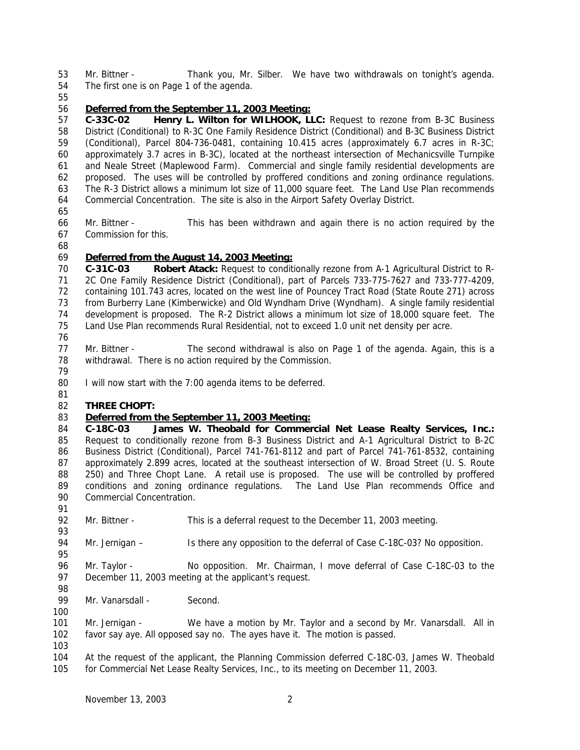Mr. Bittner - Thank you, Mr. Silber. We have two withdrawals on tonight's agenda. The first one is on Page 1 of the agenda.

### *Deferred from the September 11, 2003 Meeting:*

 **C-33C-02 Henry L. Wilton for WILHOOK, LLC:** Request to rezone from B-3C Business District (Conditional) to R-3C One Family Residence District (Conditional) and B-3C Business District (Conditional), Parcel 804-736-0481, containing 10.415 acres (approximately 6.7 acres in R-3C; approximately 3.7 acres in B-3C), located at the northeast intersection of Mechanicsville Turnpike and Neale Street (Maplewood Farm). Commercial and single family residential developments are proposed. The uses will be controlled by proffered conditions and zoning ordinance regulations. The R-3 District allows a minimum lot size of 11,000 square feet. The Land Use Plan recommends Commercial Concentration. The site is also in the Airport Safety Overlay District.

- 
- Mr. Bittner This has been withdrawn and again there is no action required by the Commission for this.
- 

### *Deferred from the August 14, 2003 Meeting:*

 **C-31C-03 Robert Atack:** Request to conditionally rezone from A-1 Agricultural District to R- 2C One Family Residence District (Conditional), part of Parcels 733-775-7627 and 733-777-4209, containing 101.743 acres, located on the west line of Pouncey Tract Road (State Route 271) across from Burberry Lane (Kimberwicke) and Old Wyndham Drive (Wyndham). A single family residential development is proposed. The R-2 District allows a minimum lot size of 18,000 square feet. The Land Use Plan recommends Rural Residential, not to exceed 1.0 unit net density per acre.

- 
- 77 Mr. Bittner The second withdrawal is also on Page 1 of the agenda. Again, this is a withdrawal. There is no action required by the Commission.
- 80 I will now start with the 7:00 agenda items to be deferred.
- 

# **THREE CHOPT:**

# *Deferred from the September 11, 2003 Meeting:*

 **C-18C-03 James W. Theobald for Commercial Net Lease Realty Services, Inc.:** Request to conditionally rezone from B-3 Business District and A-1 Agricultural District to B-2C Business District (Conditional), Parcel 741-761-8112 and part of Parcel 741-761-8532, containing 87 approximately 2.899 acres, located at the southeast intersection of W. Broad Street (U. S. Route 250) and Three Chopt Lane. A retail use is proposed. The use will be controlled by proffered conditions and zoning ordinance regulations. The Land Use Plan recommends Office and Commercial Concentration.

- Mr. Bittner This is a deferral request to the December 11, 2003 meeting.
- Mr. Jernigan Is there any opposition to the deferral of Case C-18C-03? No opposition.

 Mr. Taylor - No opposition. Mr. Chairman, I move deferral of Case C-18C-03 to the December 11, 2003 meeting at the applicant's request.

99 Mr. Vanarsdall - Second.

 Mr. Jernigan - We have a motion by Mr. Taylor and a second by Mr. Vanarsdall. All in favor say aye. All opposed say no. The ayes have it. The motion is passed.

- 
- At the request of the applicant, the Planning Commission deferred C-18C-03, James W. Theobald for Commercial Net Lease Realty Services, Inc., to its meeting on December 11, 2003.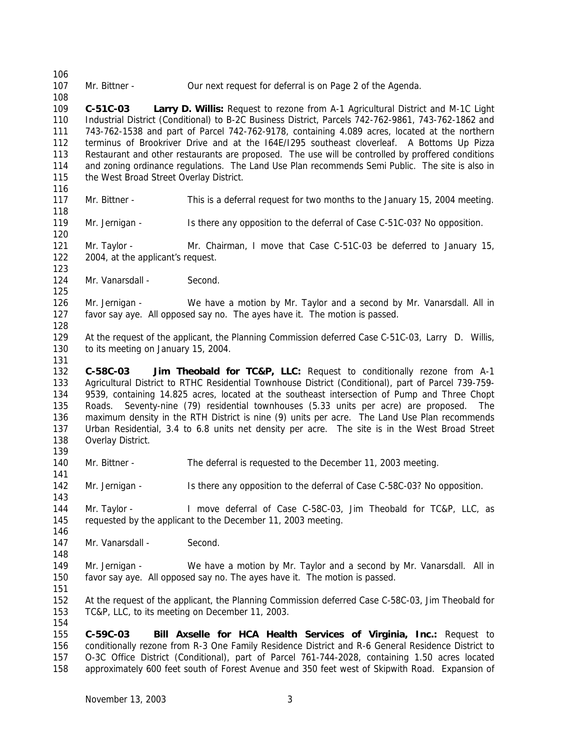107 Mr. Bittner - Our next request for deferral is on Page 2 of the Agenda.

 **C-51C-03 Larry D. Willis:** Request to rezone from A-1 Agricultural District and M-1C Light Industrial District (Conditional) to B-2C Business District, Parcels 742-762-9861, 743-762-1862 and 743-762-1538 and part of Parcel 742-762-9178, containing 4.089 acres, located at the northern terminus of Brookriver Drive and at the I64E/I295 southeast cloverleaf. A Bottoms Up Pizza Restaurant and other restaurants are proposed. The use will be controlled by proffered conditions and zoning ordinance regulations. The Land Use Plan recommends Semi Public. The site is also in 115 the West Broad Street Overlay District.

- Mr. Bittner This is a deferral request for two months to the January 15, 2004 meeting.
- Mr. Jernigan Is there any opposition to the deferral of Case C-51C-03? No opposition.

 Mr. Taylor - Mr. Chairman, I move that Case C-51C-03 be deferred to January 15, 2004, at the applicant's request.

124 Mr. Vanarsdall - Second.

 Mr. Jernigan - We have a motion by Mr. Taylor and a second by Mr. Vanarsdall. All in favor say aye. All opposed say no. The ayes have it. The motion is passed.

 At the request of the applicant, the Planning Commission deferred Case C-51C-03, Larry D. Willis, to its meeting on January 15, 2004.

 **C-58C-03 Jim Theobald for TC&P, LLC:** Request to conditionally rezone from A-1 Agricultural District to RTHC Residential Townhouse District (Conditional), part of Parcel 739-759- 9539, containing 14.825 acres, located at the southeast intersection of Pump and Three Chopt Roads. Seventy-nine (79) residential townhouses (5.33 units per acre) are proposed. The maximum density in the RTH District is nine (9) units per acre. The Land Use Plan recommends Urban Residential, 3.4 to 6.8 units net density per acre. The site is in the West Broad Street Overlay District.

- Mr. Bittner The deferral is requested to the December 11, 2003 meeting.
- Mr. Jernigan Is there any opposition to the deferral of Case C-58C-03? No opposition.

 Mr. Taylor - I move deferral of Case C-58C-03, Jim Theobald for TC&P, LLC, as requested by the applicant to the December 11, 2003 meeting.

147 Mr. Vanarsdall - Second.

149 Mr. Jernigan - We have a motion by Mr. Taylor and a second by Mr. Vanarsdall. All in favor say aye. All opposed say no. The ayes have it. The motion is passed. 

 At the request of the applicant, the Planning Commission deferred Case C-58C-03, Jim Theobald for TC&P, LLC, to its meeting on December 11, 2003.

 **C-59C-03 Bill Axselle for HCA Health Services of Virginia, Inc.:** Request to conditionally rezone from R-3 One Family Residence District and R-6 General Residence District to O-3C Office District (Conditional), part of Parcel 761-744-2028, containing 1.50 acres located approximately 600 feet south of Forest Avenue and 350 feet west of Skipwith Road. Expansion of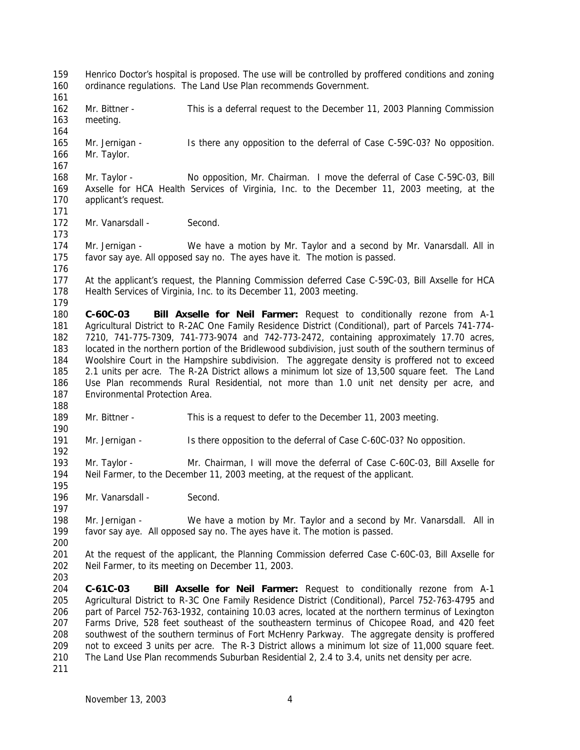Henrico Doctor's hospital is proposed. The use will be controlled by proffered conditions and zoning ordinance regulations. The Land Use Plan recommends Government. 162 Mr. Bittner - This is a deferral request to the December 11, 2003 Planning Commission meeting. Mr. Jernigan - Is there any opposition to the deferral of Case C-59C-03? No opposition. Mr. Taylor. Mr. Taylor - No opposition, Mr. Chairman. I move the deferral of Case C-59C-03, Bill Axselle for HCA Health Services of Virginia, Inc. to the December 11, 2003 meeting, at the 170 applicant's request. 172 Mr. Vanarsdall - Second. Mr. Jernigan - We have a motion by Mr. Taylor and a second by Mr. Vanarsdall. All in favor say aye. All opposed say no. The ayes have it. The motion is passed. At the applicant's request, the Planning Commission deferred Case C-59C-03, Bill Axselle for HCA Health Services of Virginia, Inc. to its December 11, 2003 meeting. **C-60C-03 Bill Axselle for Neil Farmer:** Request to conditionally rezone from A-1 Agricultural District to R-2AC One Family Residence District (Conditional), part of Parcels 741-774- 7210, 741-775-7309, 741-773-9074 and 742-773-2472, containing approximately 17.70 acres, located in the northern portion of the Bridlewood subdivision, just south of the southern terminus of Woolshire Court in the Hampshire subdivision. The aggregate density is proffered not to exceed 2.1 units per acre. The R-2A District allows a minimum lot size of 13,500 square feet. The Land Use Plan recommends Rural Residential, not more than 1.0 unit net density per acre, and Environmental Protection Area. Mr. Bittner - This is a request to defer to the December 11, 2003 meeting. Mr. Jernigan - Is there opposition to the deferral of Case C-60C-03? No opposition. Mr. Taylor - Mr. Chairman, I will move the deferral of Case C-60C-03, Bill Axselle for Neil Farmer, to the December 11, 2003 meeting, at the request of the applicant. 196 Mr. Vanarsdall - Second. Mr. Jernigan - We have a motion by Mr. Taylor and a second by Mr. Vanarsdall. All in favor say aye. All opposed say no. The ayes have it. The motion is passed. At the request of the applicant, the Planning Commission deferred Case C-60C-03, Bill Axselle for Neil Farmer, to its meeting on December 11, 2003. **C-61C-03 Bill Axselle for Neil Farmer:** Request to conditionally rezone from A-1 Agricultural District to R-3C One Family Residence District (Conditional), Parcel 752-763-4795 and part of Parcel 752-763-1932, containing 10.03 acres, located at the northern terminus of Lexington Farms Drive, 528 feet southeast of the southeastern terminus of Chicopee Road, and 420 feet southwest of the southern terminus of Fort McHenry Parkway. The aggregate density is proffered not to exceed 3 units per acre. The R-3 District allows a minimum lot size of 11,000 square feet. The Land Use Plan recommends Suburban Residential 2, 2.4 to 3.4, units net density per acre.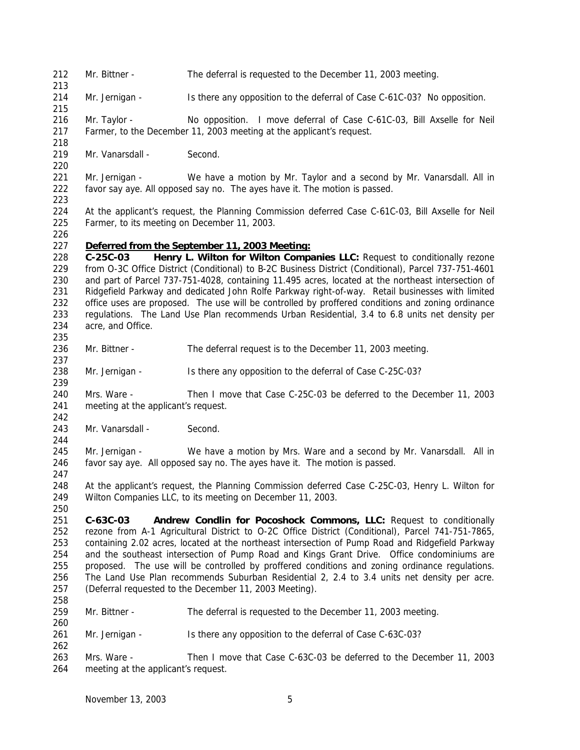- Mr. Bittner The deferral is requested to the December 11, 2003 meeting.
- Mr. Jernigan Is there any opposition to the deferral of Case C-61C-03? No opposition.

 Mr. Taylor - No opposition. I move deferral of Case C-61C-03, Bill Axselle for Neil Farmer, to the December 11, 2003 meeting at the applicant's request.

219 Mr. Vanarsdall - Second.

221 Mr. Jernigan - We have a motion by Mr. Taylor and a second by Mr. Vanarsdall. All in favor say aye. All opposed say no. The ayes have it. The motion is passed.

 At the applicant's request, the Planning Commission deferred Case C-61C-03, Bill Axselle for Neil Farmer, to its meeting on December 11, 2003.

### *Deferred from the September 11, 2003 Meeting:*

 **C-25C-03 Henry L. Wilton for Wilton Companies LLC:** Request to conditionally rezone from O-3C Office District (Conditional) to B-2C Business District (Conditional), Parcel 737-751-4601 and part of Parcel 737-751-4028, containing 11.495 acres, located at the northeast intersection of Ridgefield Parkway and dedicated John Rolfe Parkway right-of-way. Retail businesses with limited office uses are proposed. The use will be controlled by proffered conditions and zoning ordinance regulations. The Land Use Plan recommends Urban Residential, 3.4 to 6.8 units net density per acre, and Office.

- 236 Mr. Bittner The deferral request is to the December 11, 2003 meeting.
- Mr. Jernigan Is there any opposition to the deferral of Case C-25C-03?

 Mrs. Ware - Then I move that Case C-25C-03 be deferred to the December 11, 2003 meeting at the applicant's request.

243 Mr. Vanarsdall - Second.

245 Mr. Jernigan - We have a motion by Mrs. Ware and a second by Mr. Vanarsdall. All in favor say aye. All opposed say no. The ayes have it. The motion is passed.

 At the applicant's request, the Planning Commission deferred Case C-25C-03, Henry L. Wilton for Wilton Companies LLC, to its meeting on December 11, 2003.

 **C-63C-03 Andrew Condlin for Pocoshock Commons, LLC:** Request to conditionally rezone from A-1 Agricultural District to O-2C Office District (Conditional), Parcel 741-751-7865, containing 2.02 acres, located at the northeast intersection of Pump Road and Ridgefield Parkway and the southeast intersection of Pump Road and Kings Grant Drive. Office condominiums are proposed. The use will be controlled by proffered conditions and zoning ordinance regulations. The Land Use Plan recommends Suburban Residential 2, 2.4 to 3.4 units net density per acre. (Deferral requested to the December 11, 2003 Meeting). 

- Mr. Bittner The deferral is requested to the December 11, 2003 meeting.
- Mr. Jernigan Is there any opposition to the deferral of Case C-63C-03?
- Mrs. Ware Then I move that Case C-63C-03 be deferred to the December 11, 2003 meeting at the applicant's request.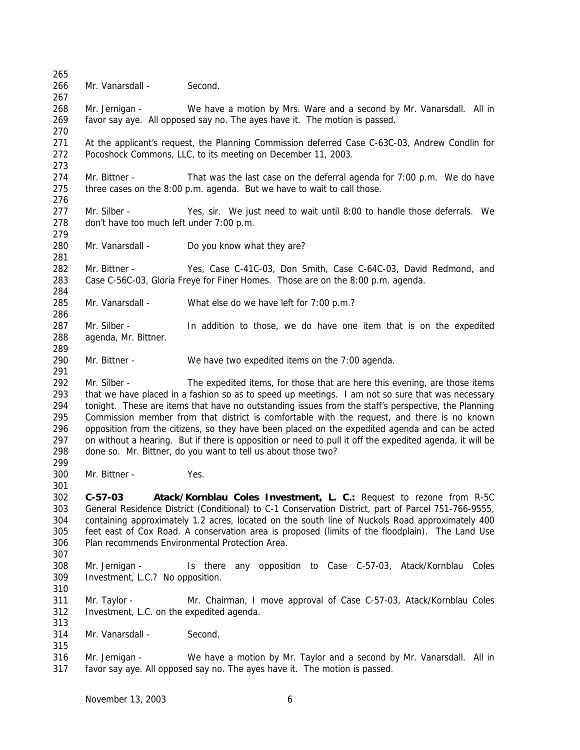Mr. Vanarsdall - Second. 268 Mr. Jernigan - We have a motion by Mrs. Ware and a second by Mr. Vanarsdall. All in favor say aye. All opposed say no. The ayes have it. The motion is passed. At the applicant's request, the Planning Commission deferred Case C-63C-03, Andrew Condlin for Pocoshock Commons, LLC, to its meeting on December 11, 2003. 274 Mr. Bittner - That was the last case on the deferral agenda for 7:00 p.m. We do have three cases on the 8:00 p.m. agenda. But we have to wait to call those. Mr. Silber - Yes, sir. We just need to wait until 8:00 to handle those deferrals. We don't have too much left under 7:00 p.m. Mr. Vanarsdall - Do you know what they are? Mr. Bittner - Yes, Case C-41C-03, Don Smith, Case C-64C-03, David Redmond, and Case C-56C-03, Gloria Freye for Finer Homes. Those are on the 8:00 p.m. agenda. Mr. Vanarsdall - What else do we have left for 7:00 p.m.? Mr. Silber - In addition to those, we do have one item that is on the expedited agenda, Mr. Bittner. Mr. Bittner - We have two expedited items on the 7:00 agenda. Mr. Silber - The expedited items, for those that are here this evening, are those items that we have placed in a fashion so as to speed up meetings. I am not so sure that was necessary tonight. These are items that have no outstanding issues from the staff's perspective, the Planning Commission member from that district is comfortable with the request, and there is no known opposition from the citizens, so they have been placed on the expedited agenda and can be acted on without a hearing. But if there is opposition or need to pull it off the expedited agenda, it will be done so. Mr. Bittner, do you want to tell us about those two? Mr. Bittner - Yes. **C-57-03 Atack/Kornblau Coles Investment, L. C.:** Request to rezone from R-5C General Residence District (Conditional) to C-1 Conservation District, part of Parcel 751-766-9555, containing approximately 1.2 acres, located on the south line of Nuckols Road approximately 400 feet east of Cox Road. A conservation area is proposed (limits of the floodplain). The Land Use Plan recommends Environmental Protection Area. Mr. Jernigan - Is there any opposition to Case C-57-03, Atack/Kornblau Coles Investment, L.C.? No opposition. Mr. Taylor - Mr. Chairman, I move approval of Case C-57-03, Atack/Kornblau Coles Investment, L.C. on the expedited agenda. 314 Mr. Vanarsdall - Second. Mr. Jernigan - We have a motion by Mr. Taylor and a second by Mr. Vanarsdall. All in favor say aye. All opposed say no. The ayes have it. The motion is passed.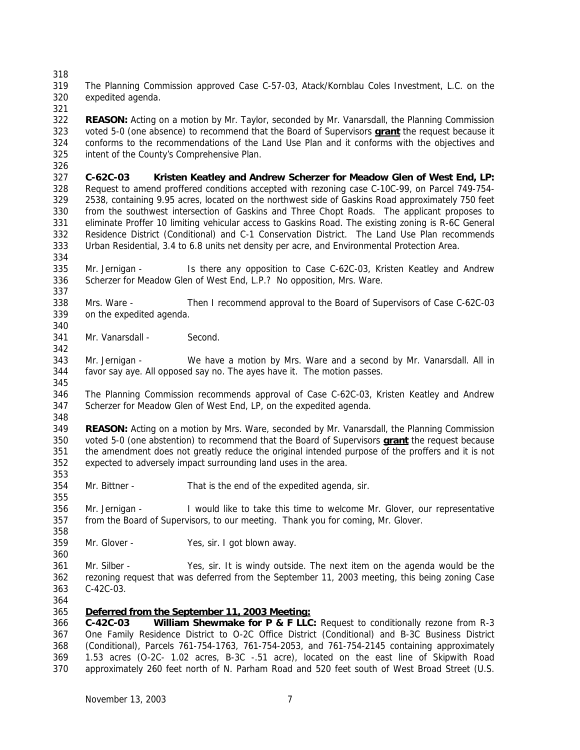The Planning Commission approved Case C-57-03, Atack/Kornblau Coles Investment, L.C. on the expedited agenda.

 **REASON:** Acting on a motion by Mr. Taylor, seconded by Mr. Vanarsdall, the Planning Commission voted 5-0 (one absence) to recommend that the Board of Supervisors **grant** the request because it conforms to the recommendations of the Land Use Plan and it conforms with the objectives and intent of the County's Comprehensive Plan.

 **C-62C-03 Kristen Keatley and Andrew Scherzer for Meadow Glen of West End, LP:** Request to amend proffered conditions accepted with rezoning case C-10C-99, on Parcel 749-754- 2538, containing 9.95 acres, located on the northwest side of Gaskins Road approximately 750 feet from the southwest intersection of Gaskins and Three Chopt Roads. The applicant proposes to eliminate Proffer 10 limiting vehicular access to Gaskins Road. The existing zoning is R-6C General Residence District (Conditional) and C-1 Conservation District. The Land Use Plan recommends Urban Residential, 3.4 to 6.8 units net density per acre, and Environmental Protection Area.

 Mr. Jernigan - Is there any opposition to Case C-62C-03, Kristen Keatley and Andrew Scherzer for Meadow Glen of West End, L.P.? No opposition, Mrs. Ware.

 Mrs. Ware - Then I recommend approval to the Board of Supervisors of Case C-62C-03 on the expedited agenda.

341 Mr. Vanarsdall - Second.

 Mr. Jernigan - We have a motion by Mrs. Ware and a second by Mr. Vanarsdall. All in favor say aye. All opposed say no. The ayes have it. The motion passes. 

 The Planning Commission recommends approval of Case C-62C-03, Kristen Keatley and Andrew Scherzer for Meadow Glen of West End, LP, on the expedited agenda.

 **REASON:** Acting on a motion by Mrs. Ware, seconded by Mr. Vanarsdall, the Planning Commission voted 5-0 (one abstention) to recommend that the Board of Supervisors **grant** the request because the amendment does not greatly reduce the original intended purpose of the proffers and it is not expected to adversely impact surrounding land uses in the area.

Mr. Bittner - That is the end of the expedited agenda, sir.

 Mr. Jernigan - I would like to take this time to welcome Mr. Glover, our representative from the Board of Supervisors, to our meeting. Thank you for coming, Mr. Glover.

 Mr. Glover - Yes, sir. I got blown away.

 Mr. Silber - Yes, sir. It is windy outside. The next item on the agenda would be the rezoning request that was deferred from the September 11, 2003 meeting, this being zoning Case C-42C-03.

# *Deferred from the September 11, 2003 Meeting:*

 **C-42C-03 William Shewmake for P & F LLC:** Request to conditionally rezone from R-3 One Family Residence District to O-2C Office District (Conditional) and B-3C Business District (Conditional), Parcels 761-754-1763, 761-754-2053, and 761-754-2145 containing approximately 1.53 acres (O-2C- 1.02 acres, B-3C -.51 acre), located on the east line of Skipwith Road approximately 260 feet north of N. Parham Road and 520 feet south of West Broad Street (U.S.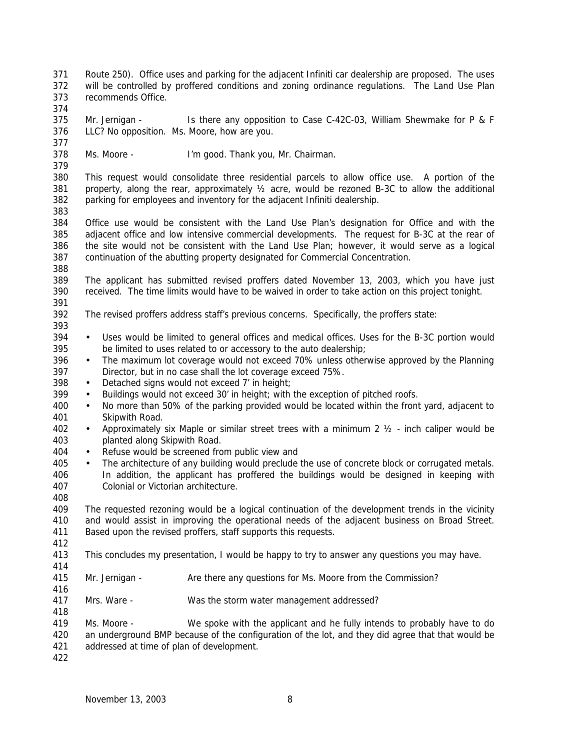Route 250). Office uses and parking for the adjacent Infiniti car dealership are proposed. The uses will be controlled by proffered conditions and zoning ordinance regulations. The Land Use Plan recommends Office.

 Mr. Jernigan - Is there any opposition to Case C-42C-03, William Shewmake for P & F LLC? No opposition. Ms. Moore, how are you.

Ms. Moore - I'm good. Thank you, Mr. Chairman.

 This request would consolidate three residential parcels to allow office use. A portion of the property, along the rear, approximately ½ acre, would be rezoned B-3C to allow the additional parking for employees and inventory for the adjacent Infiniti dealership.

 Office use would be consistent with the Land Use Plan's designation for Office and with the adjacent office and low intensive commercial developments. The request for B-3C at the rear of the site would not be consistent with the Land Use Plan; however, it would serve as a logical continuation of the abutting property designated for Commercial Concentration. 

 The applicant has submitted revised proffers dated November 13, 2003, which you have just received. The time limits would have to be waived in order to take action on this project tonight.

The revised proffers address staff's previous concerns. Specifically, the proffers state:

- Uses would be limited to general offices and medical offices. Uses for the B-3C portion would be limited to uses related to or accessory to the auto dealership;
- The maximum lot coverage would not exceed 70% unless otherwise approved by the Planning Director, but in no case shall the lot coverage exceed 75%.
- 398 Detached signs would not exceed 7' in height;
- Buildings would not exceed 30' in height; with the exception of pitched roofs.
- No more than 50% of the parking provided would be located within the front yard, adjacent to Skipwith Road.
- Approximately six Maple or similar street trees with a minimum 2 ½ inch caliper would be planted along Skipwith Road.
- Refuse would be screened from public view and
- 405 The architecture of any building would preclude the use of concrete block or corrugated metals. In addition, the applicant has proffered the buildings would be designed in keeping with Colonial or Victorian architecture.

 The requested rezoning would be a logical continuation of the development trends in the vicinity and would assist in improving the operational needs of the adjacent business on Broad Street. Based upon the revised proffers, staff supports this requests.

- This concludes my presentation, I would be happy to try to answer any questions you may have.
- 

- Mr. Jernigan Are there any questions for Ms. Moore from the Commission?
- Mrs. Ware - Was the storm water management addressed?

419 Ms. Moore - We spoke with the applicant and he fully intends to probably have to do an underground BMP because of the configuration of the lot, and they did agree that that would be addressed at time of plan of development.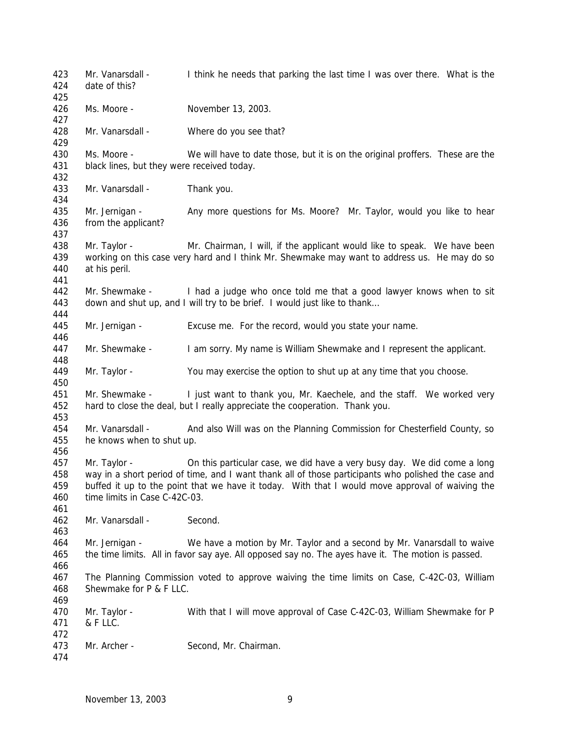Mr. Vanarsdall - I think he needs that parking the last time I was over there. What is the date of this? Ms. Moore - November 13, 2003. 428 Mr. Vanarsdall - Where do you see that? Ms. Moore - We will have to date those, but it is on the original proffers. These are the black lines, but they were received today. Mr. Vanarsdall - Thank you. 435 Mr. Jernigan - Any more questions for Ms. Moore? Mr. Taylor, would you like to hear from the applicant? Mr. Taylor - Mr. Chairman, I will, if the applicant would like to speak. We have been working on this case very hard and I think Mr. Shewmake may want to address us. He may do so at his peril. 442 Mr. Shewmake - I had a judge who once told me that a good lawyer knows when to sit down and shut up, and I will try to be brief. I would just like to thank… Mr. Jernigan - Excuse me. For the record, would you state your name. 447 Mr. Shewmake - I am sorry. My name is William Shewmake and I represent the applicant. Mr. Taylor - You may exercise the option to shut up at any time that you choose. Mr. Shewmake - I just want to thank you, Mr. Kaechele, and the staff. We worked very hard to close the deal, but I really appreciate the cooperation. Thank you. Mr. Vanarsdall - And also Will was on the Planning Commission for Chesterfield County, so he knows when to shut up. Mr. Taylor - On this particular case, we did have a very busy day. We did come a long way in a short period of time, and I want thank all of those participants who polished the case and buffed it up to the point that we have it today. With that I would move approval of waiving the time limits in Case C-42C-03. Mr. Vanarsdall - Second. Mr. Jernigan - We have a motion by Mr. Taylor and a second by Mr. Vanarsdall to waive the time limits. All in favor say aye. All opposed say no. The ayes have it. The motion is passed. The Planning Commission voted to approve waiving the time limits on Case, C-42C-03, William Shewmake for P & F LLC. Mr. Taylor - With that I will move approval of Case C-42C-03, William Shewmake for P & F LLC. Mr. Archer - Second, Mr. Chairman.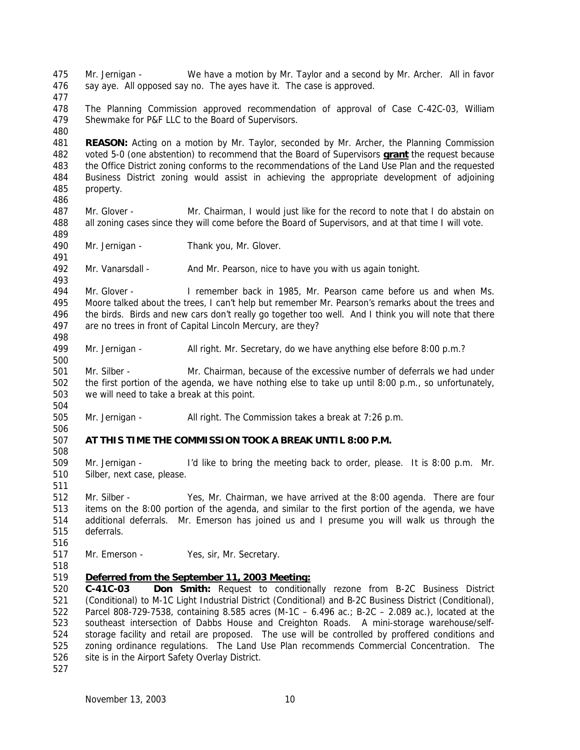Mr. Jernigan - We have a motion by Mr. Taylor and a second by Mr. Archer. All in favor say aye. All opposed say no. The ayes have it. The case is approved. The Planning Commission approved recommendation of approval of Case C-42C-03, William Shewmake for P&F LLC to the Board of Supervisors. **REASON:** Acting on a motion by Mr. Taylor, seconded by Mr. Archer, the Planning Commission voted 5-0 (one abstention) to recommend that the Board of Supervisors **grant** the request because the Office District zoning conforms to the recommendations of the Land Use Plan and the requested Business District zoning would assist in achieving the appropriate development of adjoining property. Mr. Glover - Mr. Chairman, I would just like for the record to note that I do abstain on all zoning cases since they will come before the Board of Supervisors, and at that time I will vote. Mr. Jernigan - Thank you, Mr. Glover. Mr. Vanarsdall - And Mr. Pearson, nice to have you with us again tonight. Mr. Glover - I remember back in 1985, Mr. Pearson came before us and when Ms. Moore talked about the trees, I can't help but remember Mr. Pearson's remarks about the trees and the birds. Birds and new cars don't really go together too well. And I think you will note that there are no trees in front of Capital Lincoln Mercury, are they? 499 Mr. Jernigan - All right. Mr. Secretary, do we have anything else before 8:00 p.m.? Mr. Silber - Mr. Chairman, because of the excessive number of deferrals we had under the first portion of the agenda, we have nothing else to take up until 8:00 p.m., so unfortunately, we will need to take a break at this point. Mr. Jernigan - All right. The Commission takes a break at 7:26 p.m. **AT THIS TIME THE COMMISSION TOOK A BREAK UNTIL 8:00 P.M.** Mr. Jernigan - I'd like to bring the meeting back to order, please. It is 8:00 p.m. Mr. Silber, next case, please. Mr. Silber - Yes, Mr. Chairman, we have arrived at the 8:00 agenda. There are four items on the 8:00 portion of the agenda, and similar to the first portion of the agenda, we have additional deferrals. Mr. Emerson has joined us and I presume you will walk us through the deferrals. Mr. Emerson - Yes, sir, Mr. Secretary. *Deferred from the September 11, 2003 Meeting:* **C-41C-03 Don Smith:** Request to conditionally rezone from B-2C Business District (Conditional) to M-1C Light Industrial District (Conditional) and B-2C Business District (Conditional), Parcel 808-729-7538, containing 8.585 acres (M-1C – 6.496 ac.; B-2C – 2.089 ac.), located at the southeast intersection of Dabbs House and Creighton Roads. A mini-storage warehouse/self- storage facility and retail are proposed. The use will be controlled by proffered conditions and zoning ordinance regulations. The Land Use Plan recommends Commercial Concentration. The 526 site is in the Airport Safety Overlay District.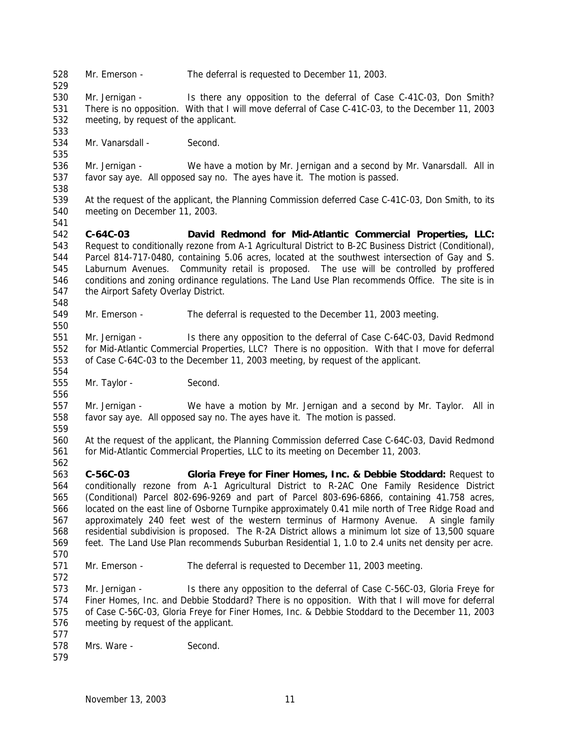Mr. Emerson - The deferral is requested to December 11, 2003.

 Mr. Jernigan - Is there any opposition to the deferral of Case C-41C-03, Don Smith? There is no opposition. With that I will move deferral of Case C-41C-03, to the December 11, 2003 meeting, by request of the applicant.

Mr. Vanarsdall - Second.

 Mr. Jernigan - We have a motion by Mr. Jernigan and a second by Mr. Vanarsdall. All in favor say aye. All opposed say no. The ayes have it. The motion is passed.

 At the request of the applicant, the Planning Commission deferred Case C-41C-03, Don Smith, to its meeting on December 11, 2003.

 **C-64C-03 David Redmond for Mid-Atlantic Commercial Properties, LLC:** Request to conditionally rezone from A-1 Agricultural District to B-2C Business District (Conditional), Parcel 814-717-0480, containing 5.06 acres, located at the southwest intersection of Gay and S. Laburnum Avenues. Community retail is proposed. The use will be controlled by proffered conditions and zoning ordinance regulations. The Land Use Plan recommends Office. The site is in the Airport Safety Overlay District.

Mr. Emerson - The deferral is requested to the December 11, 2003 meeting.

 Mr. Jernigan - Is there any opposition to the deferral of Case C-64C-03, David Redmond for Mid-Atlantic Commercial Properties, LLC? There is no opposition. With that I move for deferral of Case C-64C-03 to the December 11, 2003 meeting, by request of the applicant.

Mr. Taylor - Second.

 Mr. Jernigan - We have a motion by Mr. Jernigan and a second by Mr. Taylor. All in favor say aye. All opposed say no. The ayes have it. The motion is passed.

 At the request of the applicant, the Planning Commission deferred Case C-64C-03, David Redmond for Mid-Atlantic Commercial Properties, LLC to its meeting on December 11, 2003.

 **C-56C-03 Gloria Freye for Finer Homes, Inc. & Debbie Stoddard:** Request to conditionally rezone from A-1 Agricultural District to R-2AC One Family Residence District (Conditional) Parcel 802-696-9269 and part of Parcel 803-696-6866, containing 41.758 acres, located on the east line of Osborne Turnpike approximately 0.41 mile north of Tree Ridge Road and approximately 240 feet west of the western terminus of Harmony Avenue. A single family residential subdivision is proposed. The R-2A District allows a minimum lot size of 13,500 square feet. The Land Use Plan recommends Suburban Residential 1, 1.0 to 2.4 units net density per acre. 

Mr. Emerson - The deferral is requested to December 11, 2003 meeting.

 Mr. Jernigan - Is there any opposition to the deferral of Case C-56C-03, Gloria Freye for Finer Homes, Inc. and Debbie Stoddard? There is no opposition. With that I will move for deferral of Case C-56C-03, Gloria Freye for Finer Homes, Inc. & Debbie Stoddard to the December 11, 2003 meeting by request of the applicant.

- 
- Mrs. Ware Second.
-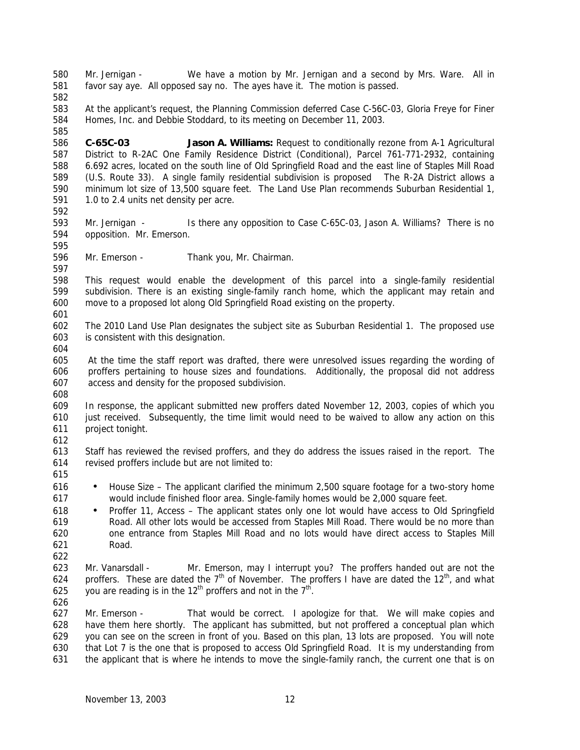Mr. Jernigan - We have a motion by Mr. Jernigan and a second by Mrs. Ware. All in favor say aye. All opposed say no. The ayes have it. The motion is passed. At the applicant's request, the Planning Commission deferred Case C-56C-03, Gloria Freye for Finer Homes, Inc. and Debbie Stoddard, to its meeting on December 11, 2003. **C-65C-03 Jason A. Williams:** Request to conditionally rezone from A-1 Agricultural District to R-2AC One Family Residence District (Conditional), Parcel 761-771-2932, containing 6.692 acres, located on the south line of Old Springfield Road and the east line of Staples Mill Road (U.S. Route 33). A single family residential subdivision is proposed The R-2A District allows a minimum lot size of 13,500 square feet. The Land Use Plan recommends Suburban Residential 1, 1.0 to 2.4 units net density per acre. Mr. Jernigan - Is there any opposition to Case C-65C-03, Jason A. Williams? There is no opposition. Mr. Emerson. Mr. Emerson - Thank you, Mr. Chairman. This request would enable the development of this parcel into a single-family residential subdivision. There is an existing single-family ranch home, which the applicant may retain and move to a proposed lot along Old Springfield Road existing on the property. The 2010 Land Use Plan designates the subject site as Suburban Residential 1. The proposed use is consistent with this designation. At the time the staff report was drafted, there were unresolved issues regarding the wording of proffers pertaining to house sizes and foundations. Additionally, the proposal did not address access and density for the proposed subdivision. In response, the applicant submitted new proffers dated November 12, 2003, copies of which you just received. Subsequently, the time limit would need to be waived to allow any action on this project tonight. Staff has reviewed the revised proffers, and they do address the issues raised in the report. The revised proffers include but are not limited to: • House Size – The applicant clarified the minimum 2,500 square footage for a two-story home would include finished floor area. Single-family homes would be 2,000 square feet. • Proffer 11, Access – The applicant states only one lot would have access to Old Springfield Road. All other lots would be accessed from Staples Mill Road. There would be no more than one entrance from Staples Mill Road and no lots would have direct access to Staples Mill Road. Mr. Vanarsdall - Mr. Emerson, may I interrupt you? The proffers handed out are not the 624 proffers. These are dated the  $7<sup>th</sup>$  of November. The proffers I have are dated the 12<sup>th</sup>, and what 625 . you are reading is in the 12<sup>th</sup> proffers and not in the  $7<sup>th</sup>$ . Mr. Emerson - That would be correct. I apologize for that. We will make copies and have them here shortly. The applicant has submitted, but not proffered a conceptual plan which you can see on the screen in front of you. Based on this plan, 13 lots are proposed. You will note that Lot 7 is the one that is proposed to access Old Springfield Road. It is my understanding from the applicant that is where he intends to move the single-family ranch, the current one that is on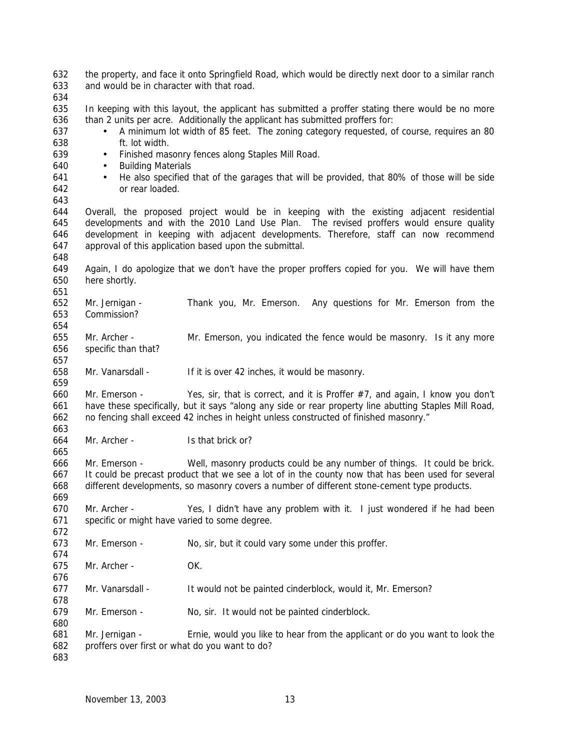| 632<br>633<br>634        | and would be in character with that road.                                                                                                                                                                                                                                                        | the property, and face it onto Springfield Road, which would be directly next door to a similar ranch                                                                                          |  |
|--------------------------|--------------------------------------------------------------------------------------------------------------------------------------------------------------------------------------------------------------------------------------------------------------------------------------------------|------------------------------------------------------------------------------------------------------------------------------------------------------------------------------------------------|--|
| 635<br>636<br>637<br>638 | In keeping with this layout, the applicant has submitted a proffer stating there would be no more<br>than 2 units per acre. Additionally the applicant has submitted proffers for:<br>A minimum lot width of 85 feet. The zoning category requested, of course, requires an 80<br>ft. lot width. |                                                                                                                                                                                                |  |
| 639                      | Finished masonry fences along Staples Mill Road.<br>$\bullet$                                                                                                                                                                                                                                    |                                                                                                                                                                                                |  |
| 640                      | <b>Building Materials</b><br>$\bullet$                                                                                                                                                                                                                                                           |                                                                                                                                                                                                |  |
| 641                      | $\bullet$                                                                                                                                                                                                                                                                                        | He also specified that of the garages that will be provided, that 80% of those will be side                                                                                                    |  |
| 642                      | or rear loaded.                                                                                                                                                                                                                                                                                  |                                                                                                                                                                                                |  |
| 643                      |                                                                                                                                                                                                                                                                                                  |                                                                                                                                                                                                |  |
| 644<br>645               |                                                                                                                                                                                                                                                                                                  | Overall, the proposed project would be in keeping with the existing adjacent residential<br>developments and with the 2010 Land Use Plan. The revised proffers would ensure quality            |  |
| 646<br>647               | development in keeping with adjacent developments. Therefore, staff can now recommend<br>approval of this application based upon the submittal.                                                                                                                                                  |                                                                                                                                                                                                |  |
| 648                      |                                                                                                                                                                                                                                                                                                  |                                                                                                                                                                                                |  |
| 649                      |                                                                                                                                                                                                                                                                                                  | Again, I do apologize that we don't have the proper proffers copied for you. We will have them                                                                                                 |  |
| 650                      | here shortly.                                                                                                                                                                                                                                                                                    |                                                                                                                                                                                                |  |
| 651                      |                                                                                                                                                                                                                                                                                                  |                                                                                                                                                                                                |  |
| 652                      | Mr. Jernigan -                                                                                                                                                                                                                                                                                   | Thank you, Mr. Emerson. Any questions for Mr. Emerson from the                                                                                                                                 |  |
| 653                      | Commission?                                                                                                                                                                                                                                                                                      |                                                                                                                                                                                                |  |
| 654                      |                                                                                                                                                                                                                                                                                                  |                                                                                                                                                                                                |  |
| 655                      | Mr. Archer -                                                                                                                                                                                                                                                                                     | Mr. Emerson, you indicated the fence would be masonry. Is it any more                                                                                                                          |  |
| 656                      | specific than that?                                                                                                                                                                                                                                                                              |                                                                                                                                                                                                |  |
| 657<br>658               | Mr. Vanarsdall -                                                                                                                                                                                                                                                                                 |                                                                                                                                                                                                |  |
| 659                      |                                                                                                                                                                                                                                                                                                  | If it is over 42 inches, it would be masonry.                                                                                                                                                  |  |
| 660                      | Mr. Emerson -                                                                                                                                                                                                                                                                                    | Yes, sir, that is correct, and it is Proffer #7, and again, I know you don't                                                                                                                   |  |
| 661<br>662               |                                                                                                                                                                                                                                                                                                  | have these specifically, but it says "along any side or rear property line abutting Staples Mill Road,<br>no fencing shall exceed 42 inches in height unless constructed of finished masonry." |  |
| 663                      |                                                                                                                                                                                                                                                                                                  |                                                                                                                                                                                                |  |
| 664                      | Mr. Archer -                                                                                                                                                                                                                                                                                     | Is that brick or?                                                                                                                                                                              |  |
| 665                      |                                                                                                                                                                                                                                                                                                  |                                                                                                                                                                                                |  |
| 666                      | Mr. Emerson -                                                                                                                                                                                                                                                                                    | Well, masonry products could be any number of things. It could be brick.                                                                                                                       |  |
| 667                      |                                                                                                                                                                                                                                                                                                  | It could be precast product that we see a lot of in the county now that has been used for several                                                                                              |  |
| 668                      |                                                                                                                                                                                                                                                                                                  | different developments, so masonry covers a number of different stone-cement type products.                                                                                                    |  |
| 669                      |                                                                                                                                                                                                                                                                                                  |                                                                                                                                                                                                |  |
| 670<br>671               | Mr. Archer -<br>specific or might have varied to some degree.                                                                                                                                                                                                                                    | Yes, I didn't have any problem with it. I just wondered if he had been                                                                                                                         |  |
| 672                      |                                                                                                                                                                                                                                                                                                  |                                                                                                                                                                                                |  |
| 673                      | Mr. Emerson -                                                                                                                                                                                                                                                                                    | No, sir, but it could vary some under this proffer.                                                                                                                                            |  |
| 674                      |                                                                                                                                                                                                                                                                                                  |                                                                                                                                                                                                |  |
| 675                      | Mr. Archer -                                                                                                                                                                                                                                                                                     | OK.                                                                                                                                                                                            |  |
| 676                      |                                                                                                                                                                                                                                                                                                  |                                                                                                                                                                                                |  |
| 677                      | Mr. Vanarsdall -                                                                                                                                                                                                                                                                                 | It would not be painted cinderblock, would it, Mr. Emerson?                                                                                                                                    |  |
| 678                      |                                                                                                                                                                                                                                                                                                  |                                                                                                                                                                                                |  |
| 679                      | Mr. Emerson -                                                                                                                                                                                                                                                                                    | No, sir. It would not be painted cinderblock.                                                                                                                                                  |  |
| 680                      |                                                                                                                                                                                                                                                                                                  |                                                                                                                                                                                                |  |
| 681                      | Mr. Jernigan -                                                                                                                                                                                                                                                                                   | Ernie, would you like to hear from the applicant or do you want to look the                                                                                                                    |  |
| 682                      | proffers over first or what do you want to do?                                                                                                                                                                                                                                                   |                                                                                                                                                                                                |  |
| 683                      |                                                                                                                                                                                                                                                                                                  |                                                                                                                                                                                                |  |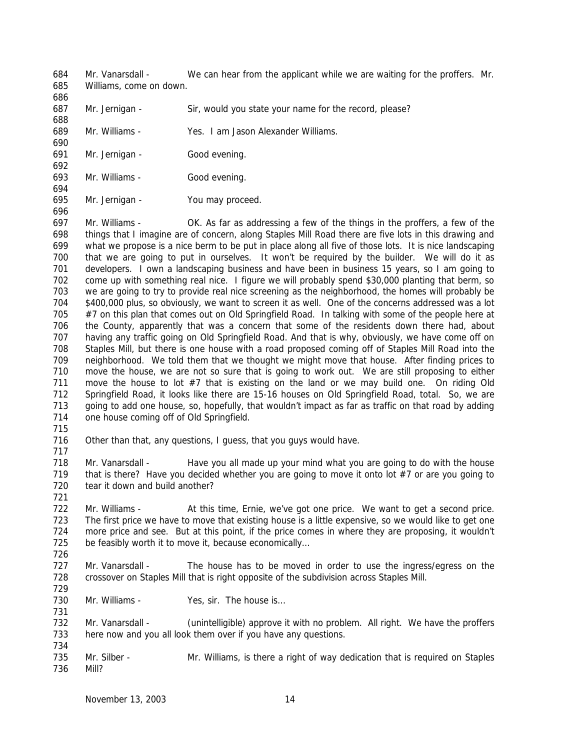Mr. Vanarsdall - We can hear from the applicant while we are waiting for the proffers. Mr. Williams, come on down.

- 687 Mr. Jernigan Sir, would you state your name for the record, please?
- Mr. Williams Yes. I am Jason Alexander Williams.
- Mr. Jernigan Good evening.
- Mr. Williams Good evening.
- Mr. Jernigan You may proceed.

 Mr. Williams - OK. As far as addressing a few of the things in the proffers, a few of the things that I imagine are of concern, along Staples Mill Road there are five lots in this drawing and what we propose is a nice berm to be put in place along all five of those lots. It is nice landscaping that we are going to put in ourselves. It won't be required by the builder. We will do it as developers. I own a landscaping business and have been in business 15 years, so I am going to come up with something real nice. I figure we will probably spend \$30,000 planting that berm, so we are going to try to provide real nice screening as the neighborhood, the homes will probably be \$400,000 plus, so obviously, we want to screen it as well. One of the concerns addressed was a lot 705 #7 on this plan that comes out on Old Springfield Road. In talking with some of the people here at the County, apparently that was a concern that some of the residents down there had, about having any traffic going on Old Springfield Road. And that is why, obviously, we have come off on Staples Mill, but there is one house with a road proposed coming off of Staples Mill Road into the neighborhood. We told them that we thought we might move that house. After finding prices to move the house, we are not so sure that is going to work out. We are still proposing to either move the house to lot #7 that is existing on the land or we may build one. On riding Old Springfield Road, it looks like there are 15-16 houses on Old Springfield Road, total. So, we are 713 going to add one house, so, hopefully, that wouldn't impact as far as traffic on that road by adding 714 one house coming off of Old Springfield.

 Other than that, any questions, I guess, that you guys would have. 

718 Mr. Vanarsdall - Have you all made up your mind what you are going to do with the house that is there? Have you decided whether you are going to move it onto lot #7 or are you going to 720 tear it down and build another?

- Mr. Williams At this time, Ernie, we've got one price. We want to get a second price. The first price we have to move that existing house is a little expensive, so we would like to get one more price and see. But at this point, if the price comes in where they are proposing, it wouldn't 725 be feasibly worth it to move it, because economically...
- Mr. Vanarsdall The house has to be moved in order to use the ingress/egress on the crossover on Staples Mill that is right opposite of the subdivision across Staples Mill.
- 730 Mr. Williams Yes, sir. The house is...

 Mr. Vanarsdall - (unintelligible) approve it with no problem. All right. We have the proffers here now and you all look them over if you have any questions.

 Mr. Silber - Mr. Williams, is there a right of way dedication that is required on Staples Mill?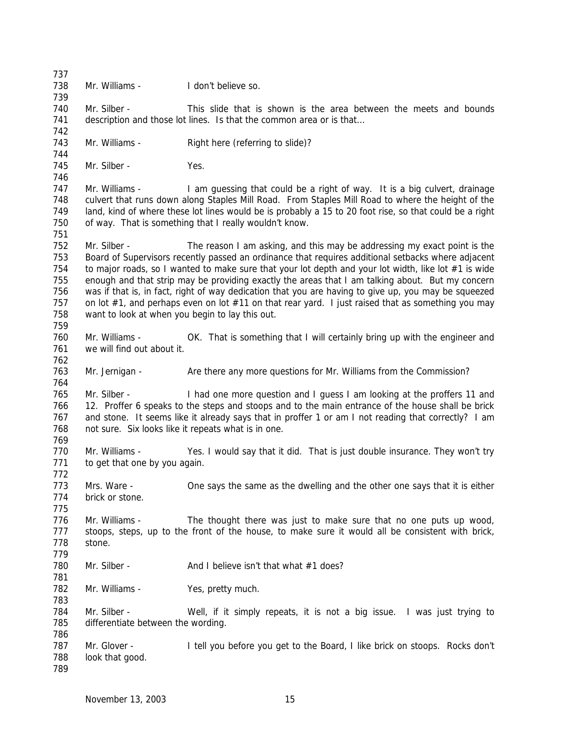Mr. Williams - I don't believe so. Mr. Silber - This slide that is shown is the area between the meets and bounds 741 description and those lot lines. Is that the common area or is that... 743 Mr. Williams - Right here (referring to slide)? 745 Mr. Silber - Yes. Mr. Williams - I am guessing that could be a right of way. It is a big culvert, drainage culvert that runs down along Staples Mill Road. From Staples Mill Road to where the height of the land, kind of where these lot lines would be is probably a 15 to 20 foot rise, so that could be a right of way. That is something that I really wouldn't know. Mr. Silber - The reason I am asking, and this may be addressing my exact point is the Board of Supervisors recently passed an ordinance that requires additional setbacks where adjacent 754 to major roads, so I wanted to make sure that your lot depth and your lot width, like lot #1 is wide enough and that strip may be providing exactly the areas that I am talking about. But my concern was if that is, in fact, right of way dedication that you are having to give up, you may be squeezed 757 on lot #1, and perhaps even on lot #11 on that rear yard. I just raised that as something you may want to look at when you begin to lay this out. Mr. Williams - OK. That is something that I will certainly bring up with the engineer and we will find out about it. 763 Mr. Jernigan - Are there any more questions for Mr. Williams from the Commission? 765 Mr. Silber - I had one more question and I quess I am looking at the proffers 11 and 12. Proffer 6 speaks to the steps and stoops and to the main entrance of the house shall be brick and stone. It seems like it already says that in proffer 1 or am I not reading that correctly? I am not sure. Six looks like it repeats what is in one. Mr. Williams - Yes. I would say that it did. That is just double insurance. They won't try to get that one by you again. Mrs. Ware - One says the same as the dwelling and the other one says that it is either brick or stone. Mr. Williams - The thought there was just to make sure that no one puts up wood, stoops, steps, up to the front of the house, to make sure it would all be consistent with brick, stone. 780 Mr. Silber - And I believe isn't that what #1 does? 782 Mr. Williams - Yes, pretty much. Mr. Silber - Well, if it simply repeats, it is not a big issue. I was just trying to differentiate between the wording. 787 Mr. Glover - I tell you before you get to the Board, I like brick on stoops. Rocks don't look that good.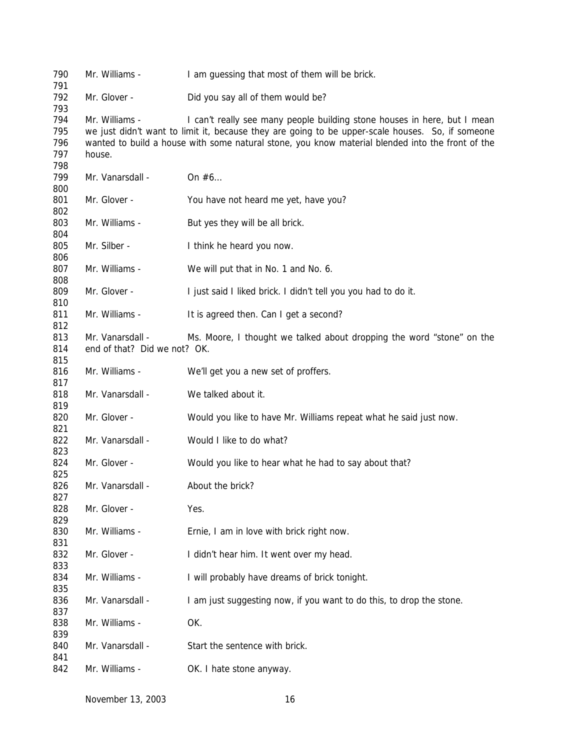| 792<br>Mr. Glover -<br>Did you say all of them would be?<br>793<br>794<br>I can't really see many people building stone houses in here, but I mean<br>Mr. Williams -<br>795<br>we just didn't want to limit it, because they are going to be upper-scale houses. So, if someone<br>796<br>wanted to build a house with some natural stone, you know material blended into the front of the<br>797<br>house.<br>798<br>799<br>Mr. Vanarsdall -<br>On $#6$<br>800<br>801<br>Mr. Glover -<br>You have not heard me yet, have you?<br>802<br>803<br>Mr. Williams -<br>But yes they will be all brick.<br>804<br>805<br>Mr. Silber -<br>I think he heard you now.<br>806<br>807<br>Mr. Williams -<br>We will put that in No. 1 and No. 6.<br>808<br>809<br>Mr. Glover -<br>I just said I liked brick. I didn't tell you you had to do it.<br>810<br>811<br>Mr. Williams -<br>It is agreed then. Can I get a second?<br>812<br>813<br>Mr. Vanarsdall -<br>Ms. Moore, I thought we talked about dropping the word "stone" on the<br>end of that? Did we not? OK.<br>814<br>815<br>816<br>Mr. Williams -<br>We'll get you a new set of proffers.<br>817<br>Mr. Vanarsdall -<br>We talked about it.<br>818<br>819<br>Mr. Glover -<br>820<br>Would you like to have Mr. Williams repeat what he said just now.<br>821<br>822<br>Mr. Vanarsdall -<br>Would I like to do what?<br>823<br>Mr. Glover -<br>824<br>Would you like to hear what he had to say about that?<br>825<br>826<br>Mr. Vanarsdall -<br>About the brick?<br>827<br>828<br>Mr. Glover -<br>Yes.<br>829<br>830<br>Mr. Williams -<br>Ernie, I am in love with brick right now.<br>831<br>832<br>Mr. Glover -<br>I didn't hear him. It went over my head.<br>833<br>834<br>I will probably have dreams of brick tonight.<br>Mr. Williams -<br>835<br>836<br>I am just suggesting now, if you want to do this, to drop the stone.<br>Mr. Vanarsdall -<br>837<br>838<br>Mr. Williams -<br>OK.<br>839<br>840<br>Mr. Vanarsdall -<br>Start the sentence with brick.<br>841<br>Mr. Williams -<br>842 | 790<br>791 | Mr. Williams - | I am guessing that most of them will be brick. |
|----------------------------------------------------------------------------------------------------------------------------------------------------------------------------------------------------------------------------------------------------------------------------------------------------------------------------------------------------------------------------------------------------------------------------------------------------------------------------------------------------------------------------------------------------------------------------------------------------------------------------------------------------------------------------------------------------------------------------------------------------------------------------------------------------------------------------------------------------------------------------------------------------------------------------------------------------------------------------------------------------------------------------------------------------------------------------------------------------------------------------------------------------------------------------------------------------------------------------------------------------------------------------------------------------------------------------------------------------------------------------------------------------------------------------------------------------------------------------------------------------------------------------------------------------------------------------------------------------------------------------------------------------------------------------------------------------------------------------------------------------------------------------------------------------------------------------------------------------------------------------------------------------------------------------------------------------------------------------------------------------------------------------------------------------|------------|----------------|------------------------------------------------|
|                                                                                                                                                                                                                                                                                                                                                                                                                                                                                                                                                                                                                                                                                                                                                                                                                                                                                                                                                                                                                                                                                                                                                                                                                                                                                                                                                                                                                                                                                                                                                                                                                                                                                                                                                                                                                                                                                                                                                                                                                                                    |            |                |                                                |
|                                                                                                                                                                                                                                                                                                                                                                                                                                                                                                                                                                                                                                                                                                                                                                                                                                                                                                                                                                                                                                                                                                                                                                                                                                                                                                                                                                                                                                                                                                                                                                                                                                                                                                                                                                                                                                                                                                                                                                                                                                                    |            |                |                                                |
|                                                                                                                                                                                                                                                                                                                                                                                                                                                                                                                                                                                                                                                                                                                                                                                                                                                                                                                                                                                                                                                                                                                                                                                                                                                                                                                                                                                                                                                                                                                                                                                                                                                                                                                                                                                                                                                                                                                                                                                                                                                    |            |                |                                                |
|                                                                                                                                                                                                                                                                                                                                                                                                                                                                                                                                                                                                                                                                                                                                                                                                                                                                                                                                                                                                                                                                                                                                                                                                                                                                                                                                                                                                                                                                                                                                                                                                                                                                                                                                                                                                                                                                                                                                                                                                                                                    |            |                |                                                |
|                                                                                                                                                                                                                                                                                                                                                                                                                                                                                                                                                                                                                                                                                                                                                                                                                                                                                                                                                                                                                                                                                                                                                                                                                                                                                                                                                                                                                                                                                                                                                                                                                                                                                                                                                                                                                                                                                                                                                                                                                                                    |            |                |                                                |
|                                                                                                                                                                                                                                                                                                                                                                                                                                                                                                                                                                                                                                                                                                                                                                                                                                                                                                                                                                                                                                                                                                                                                                                                                                                                                                                                                                                                                                                                                                                                                                                                                                                                                                                                                                                                                                                                                                                                                                                                                                                    |            |                |                                                |
|                                                                                                                                                                                                                                                                                                                                                                                                                                                                                                                                                                                                                                                                                                                                                                                                                                                                                                                                                                                                                                                                                                                                                                                                                                                                                                                                                                                                                                                                                                                                                                                                                                                                                                                                                                                                                                                                                                                                                                                                                                                    |            |                |                                                |
|                                                                                                                                                                                                                                                                                                                                                                                                                                                                                                                                                                                                                                                                                                                                                                                                                                                                                                                                                                                                                                                                                                                                                                                                                                                                                                                                                                                                                                                                                                                                                                                                                                                                                                                                                                                                                                                                                                                                                                                                                                                    |            |                |                                                |
|                                                                                                                                                                                                                                                                                                                                                                                                                                                                                                                                                                                                                                                                                                                                                                                                                                                                                                                                                                                                                                                                                                                                                                                                                                                                                                                                                                                                                                                                                                                                                                                                                                                                                                                                                                                                                                                                                                                                                                                                                                                    |            |                |                                                |
|                                                                                                                                                                                                                                                                                                                                                                                                                                                                                                                                                                                                                                                                                                                                                                                                                                                                                                                                                                                                                                                                                                                                                                                                                                                                                                                                                                                                                                                                                                                                                                                                                                                                                                                                                                                                                                                                                                                                                                                                                                                    |            |                |                                                |
|                                                                                                                                                                                                                                                                                                                                                                                                                                                                                                                                                                                                                                                                                                                                                                                                                                                                                                                                                                                                                                                                                                                                                                                                                                                                                                                                                                                                                                                                                                                                                                                                                                                                                                                                                                                                                                                                                                                                                                                                                                                    |            |                |                                                |
|                                                                                                                                                                                                                                                                                                                                                                                                                                                                                                                                                                                                                                                                                                                                                                                                                                                                                                                                                                                                                                                                                                                                                                                                                                                                                                                                                                                                                                                                                                                                                                                                                                                                                                                                                                                                                                                                                                                                                                                                                                                    |            |                |                                                |
|                                                                                                                                                                                                                                                                                                                                                                                                                                                                                                                                                                                                                                                                                                                                                                                                                                                                                                                                                                                                                                                                                                                                                                                                                                                                                                                                                                                                                                                                                                                                                                                                                                                                                                                                                                                                                                                                                                                                                                                                                                                    |            |                |                                                |
|                                                                                                                                                                                                                                                                                                                                                                                                                                                                                                                                                                                                                                                                                                                                                                                                                                                                                                                                                                                                                                                                                                                                                                                                                                                                                                                                                                                                                                                                                                                                                                                                                                                                                                                                                                                                                                                                                                                                                                                                                                                    |            |                |                                                |
|                                                                                                                                                                                                                                                                                                                                                                                                                                                                                                                                                                                                                                                                                                                                                                                                                                                                                                                                                                                                                                                                                                                                                                                                                                                                                                                                                                                                                                                                                                                                                                                                                                                                                                                                                                                                                                                                                                                                                                                                                                                    |            |                |                                                |
|                                                                                                                                                                                                                                                                                                                                                                                                                                                                                                                                                                                                                                                                                                                                                                                                                                                                                                                                                                                                                                                                                                                                                                                                                                                                                                                                                                                                                                                                                                                                                                                                                                                                                                                                                                                                                                                                                                                                                                                                                                                    |            |                |                                                |
|                                                                                                                                                                                                                                                                                                                                                                                                                                                                                                                                                                                                                                                                                                                                                                                                                                                                                                                                                                                                                                                                                                                                                                                                                                                                                                                                                                                                                                                                                                                                                                                                                                                                                                                                                                                                                                                                                                                                                                                                                                                    |            |                |                                                |
|                                                                                                                                                                                                                                                                                                                                                                                                                                                                                                                                                                                                                                                                                                                                                                                                                                                                                                                                                                                                                                                                                                                                                                                                                                                                                                                                                                                                                                                                                                                                                                                                                                                                                                                                                                                                                                                                                                                                                                                                                                                    |            |                |                                                |
|                                                                                                                                                                                                                                                                                                                                                                                                                                                                                                                                                                                                                                                                                                                                                                                                                                                                                                                                                                                                                                                                                                                                                                                                                                                                                                                                                                                                                                                                                                                                                                                                                                                                                                                                                                                                                                                                                                                                                                                                                                                    |            |                |                                                |
|                                                                                                                                                                                                                                                                                                                                                                                                                                                                                                                                                                                                                                                                                                                                                                                                                                                                                                                                                                                                                                                                                                                                                                                                                                                                                                                                                                                                                                                                                                                                                                                                                                                                                                                                                                                                                                                                                                                                                                                                                                                    |            |                |                                                |
|                                                                                                                                                                                                                                                                                                                                                                                                                                                                                                                                                                                                                                                                                                                                                                                                                                                                                                                                                                                                                                                                                                                                                                                                                                                                                                                                                                                                                                                                                                                                                                                                                                                                                                                                                                                                                                                                                                                                                                                                                                                    |            |                |                                                |
|                                                                                                                                                                                                                                                                                                                                                                                                                                                                                                                                                                                                                                                                                                                                                                                                                                                                                                                                                                                                                                                                                                                                                                                                                                                                                                                                                                                                                                                                                                                                                                                                                                                                                                                                                                                                                                                                                                                                                                                                                                                    |            |                |                                                |
|                                                                                                                                                                                                                                                                                                                                                                                                                                                                                                                                                                                                                                                                                                                                                                                                                                                                                                                                                                                                                                                                                                                                                                                                                                                                                                                                                                                                                                                                                                                                                                                                                                                                                                                                                                                                                                                                                                                                                                                                                                                    |            |                |                                                |
|                                                                                                                                                                                                                                                                                                                                                                                                                                                                                                                                                                                                                                                                                                                                                                                                                                                                                                                                                                                                                                                                                                                                                                                                                                                                                                                                                                                                                                                                                                                                                                                                                                                                                                                                                                                                                                                                                                                                                                                                                                                    |            |                |                                                |
|                                                                                                                                                                                                                                                                                                                                                                                                                                                                                                                                                                                                                                                                                                                                                                                                                                                                                                                                                                                                                                                                                                                                                                                                                                                                                                                                                                                                                                                                                                                                                                                                                                                                                                                                                                                                                                                                                                                                                                                                                                                    |            |                |                                                |
|                                                                                                                                                                                                                                                                                                                                                                                                                                                                                                                                                                                                                                                                                                                                                                                                                                                                                                                                                                                                                                                                                                                                                                                                                                                                                                                                                                                                                                                                                                                                                                                                                                                                                                                                                                                                                                                                                                                                                                                                                                                    |            |                |                                                |
|                                                                                                                                                                                                                                                                                                                                                                                                                                                                                                                                                                                                                                                                                                                                                                                                                                                                                                                                                                                                                                                                                                                                                                                                                                                                                                                                                                                                                                                                                                                                                                                                                                                                                                                                                                                                                                                                                                                                                                                                                                                    |            |                |                                                |
|                                                                                                                                                                                                                                                                                                                                                                                                                                                                                                                                                                                                                                                                                                                                                                                                                                                                                                                                                                                                                                                                                                                                                                                                                                                                                                                                                                                                                                                                                                                                                                                                                                                                                                                                                                                                                                                                                                                                                                                                                                                    |            |                |                                                |
|                                                                                                                                                                                                                                                                                                                                                                                                                                                                                                                                                                                                                                                                                                                                                                                                                                                                                                                                                                                                                                                                                                                                                                                                                                                                                                                                                                                                                                                                                                                                                                                                                                                                                                                                                                                                                                                                                                                                                                                                                                                    |            |                |                                                |
|                                                                                                                                                                                                                                                                                                                                                                                                                                                                                                                                                                                                                                                                                                                                                                                                                                                                                                                                                                                                                                                                                                                                                                                                                                                                                                                                                                                                                                                                                                                                                                                                                                                                                                                                                                                                                                                                                                                                                                                                                                                    |            |                |                                                |
|                                                                                                                                                                                                                                                                                                                                                                                                                                                                                                                                                                                                                                                                                                                                                                                                                                                                                                                                                                                                                                                                                                                                                                                                                                                                                                                                                                                                                                                                                                                                                                                                                                                                                                                                                                                                                                                                                                                                                                                                                                                    |            |                |                                                |
|                                                                                                                                                                                                                                                                                                                                                                                                                                                                                                                                                                                                                                                                                                                                                                                                                                                                                                                                                                                                                                                                                                                                                                                                                                                                                                                                                                                                                                                                                                                                                                                                                                                                                                                                                                                                                                                                                                                                                                                                                                                    |            |                |                                                |
|                                                                                                                                                                                                                                                                                                                                                                                                                                                                                                                                                                                                                                                                                                                                                                                                                                                                                                                                                                                                                                                                                                                                                                                                                                                                                                                                                                                                                                                                                                                                                                                                                                                                                                                                                                                                                                                                                                                                                                                                                                                    |            |                |                                                |
|                                                                                                                                                                                                                                                                                                                                                                                                                                                                                                                                                                                                                                                                                                                                                                                                                                                                                                                                                                                                                                                                                                                                                                                                                                                                                                                                                                                                                                                                                                                                                                                                                                                                                                                                                                                                                                                                                                                                                                                                                                                    |            |                |                                                |
|                                                                                                                                                                                                                                                                                                                                                                                                                                                                                                                                                                                                                                                                                                                                                                                                                                                                                                                                                                                                                                                                                                                                                                                                                                                                                                                                                                                                                                                                                                                                                                                                                                                                                                                                                                                                                                                                                                                                                                                                                                                    |            |                |                                                |
|                                                                                                                                                                                                                                                                                                                                                                                                                                                                                                                                                                                                                                                                                                                                                                                                                                                                                                                                                                                                                                                                                                                                                                                                                                                                                                                                                                                                                                                                                                                                                                                                                                                                                                                                                                                                                                                                                                                                                                                                                                                    |            |                |                                                |
|                                                                                                                                                                                                                                                                                                                                                                                                                                                                                                                                                                                                                                                                                                                                                                                                                                                                                                                                                                                                                                                                                                                                                                                                                                                                                                                                                                                                                                                                                                                                                                                                                                                                                                                                                                                                                                                                                                                                                                                                                                                    |            |                |                                                |
|                                                                                                                                                                                                                                                                                                                                                                                                                                                                                                                                                                                                                                                                                                                                                                                                                                                                                                                                                                                                                                                                                                                                                                                                                                                                                                                                                                                                                                                                                                                                                                                                                                                                                                                                                                                                                                                                                                                                                                                                                                                    |            |                |                                                |
|                                                                                                                                                                                                                                                                                                                                                                                                                                                                                                                                                                                                                                                                                                                                                                                                                                                                                                                                                                                                                                                                                                                                                                                                                                                                                                                                                                                                                                                                                                                                                                                                                                                                                                                                                                                                                                                                                                                                                                                                                                                    |            |                |                                                |
|                                                                                                                                                                                                                                                                                                                                                                                                                                                                                                                                                                                                                                                                                                                                                                                                                                                                                                                                                                                                                                                                                                                                                                                                                                                                                                                                                                                                                                                                                                                                                                                                                                                                                                                                                                                                                                                                                                                                                                                                                                                    |            |                |                                                |
|                                                                                                                                                                                                                                                                                                                                                                                                                                                                                                                                                                                                                                                                                                                                                                                                                                                                                                                                                                                                                                                                                                                                                                                                                                                                                                                                                                                                                                                                                                                                                                                                                                                                                                                                                                                                                                                                                                                                                                                                                                                    |            |                |                                                |
|                                                                                                                                                                                                                                                                                                                                                                                                                                                                                                                                                                                                                                                                                                                                                                                                                                                                                                                                                                                                                                                                                                                                                                                                                                                                                                                                                                                                                                                                                                                                                                                                                                                                                                                                                                                                                                                                                                                                                                                                                                                    |            |                |                                                |
|                                                                                                                                                                                                                                                                                                                                                                                                                                                                                                                                                                                                                                                                                                                                                                                                                                                                                                                                                                                                                                                                                                                                                                                                                                                                                                                                                                                                                                                                                                                                                                                                                                                                                                                                                                                                                                                                                                                                                                                                                                                    |            |                |                                                |
|                                                                                                                                                                                                                                                                                                                                                                                                                                                                                                                                                                                                                                                                                                                                                                                                                                                                                                                                                                                                                                                                                                                                                                                                                                                                                                                                                                                                                                                                                                                                                                                                                                                                                                                                                                                                                                                                                                                                                                                                                                                    |            |                |                                                |
|                                                                                                                                                                                                                                                                                                                                                                                                                                                                                                                                                                                                                                                                                                                                                                                                                                                                                                                                                                                                                                                                                                                                                                                                                                                                                                                                                                                                                                                                                                                                                                                                                                                                                                                                                                                                                                                                                                                                                                                                                                                    |            |                |                                                |
|                                                                                                                                                                                                                                                                                                                                                                                                                                                                                                                                                                                                                                                                                                                                                                                                                                                                                                                                                                                                                                                                                                                                                                                                                                                                                                                                                                                                                                                                                                                                                                                                                                                                                                                                                                                                                                                                                                                                                                                                                                                    |            |                |                                                |
|                                                                                                                                                                                                                                                                                                                                                                                                                                                                                                                                                                                                                                                                                                                                                                                                                                                                                                                                                                                                                                                                                                                                                                                                                                                                                                                                                                                                                                                                                                                                                                                                                                                                                                                                                                                                                                                                                                                                                                                                                                                    |            |                |                                                |
|                                                                                                                                                                                                                                                                                                                                                                                                                                                                                                                                                                                                                                                                                                                                                                                                                                                                                                                                                                                                                                                                                                                                                                                                                                                                                                                                                                                                                                                                                                                                                                                                                                                                                                                                                                                                                                                                                                                                                                                                                                                    |            |                |                                                |
|                                                                                                                                                                                                                                                                                                                                                                                                                                                                                                                                                                                                                                                                                                                                                                                                                                                                                                                                                                                                                                                                                                                                                                                                                                                                                                                                                                                                                                                                                                                                                                                                                                                                                                                                                                                                                                                                                                                                                                                                                                                    |            |                |                                                |
|                                                                                                                                                                                                                                                                                                                                                                                                                                                                                                                                                                                                                                                                                                                                                                                                                                                                                                                                                                                                                                                                                                                                                                                                                                                                                                                                                                                                                                                                                                                                                                                                                                                                                                                                                                                                                                                                                                                                                                                                                                                    |            |                | OK. I hate stone anyway.                       |

November 13, 2003 16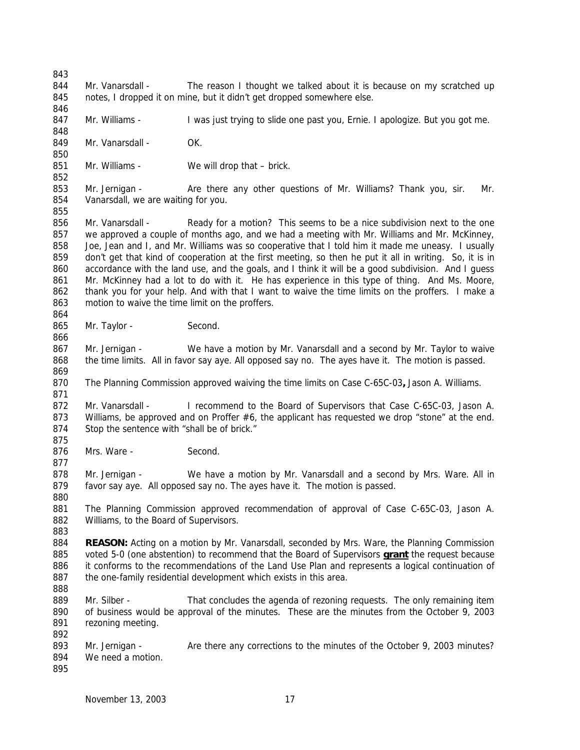844 Mr. Vanarsdall - The reason I thought we talked about it is because on my scratched up notes, I dropped it on mine, but it didn't get dropped somewhere else. 

847 Mr. Williams - I was just trying to slide one past you, Ernie. I apologize. But you got me.

849 Mr. Vanarsdall - OK.

851 Mr. Williams - We will drop that – brick.

853 Mr. Jernigan - Are there any other questions of Mr. Williams? Thank you, sir. Mr. Vanarsdall, we are waiting for you.

 Mr. Vanarsdall - Ready for a motion? This seems to be a nice subdivision next to the one we approved a couple of months ago, and we had a meeting with Mr. Williams and Mr. McKinney, Joe, Jean and I, and Mr. Williams was so cooperative that I told him it made me uneasy. I usually don't get that kind of cooperation at the first meeting, so then he put it all in writing. So, it is in accordance with the land use, and the goals, and I think it will be a good subdivision. And I guess Mr. McKinney had a lot to do with it. He has experience in this type of thing. And Ms. Moore, 862 thank you for your help. And with that I want to waive the time limits on the proffers. I make a motion to waive the time limit on the proffers. 

865 Mr. Taylor - Second.

867 Mr. Jernigan - We have a motion by Mr. Vanarsdall and a second by Mr. Taylor to waive the time limits. All in favor say aye. All opposed say no. The ayes have it. The motion is passed.

The Planning Commission approved waiving the time limits on Case C-65C-03**,** Jason A. Williams.

 Mr. Vanarsdall - I recommend to the Board of Supervisors that Case C-65C-03, Jason A. 873 Williams, be approved and on Proffer #6, the applicant has requested we drop "stone" at the end. 874 Stop the sentence with "shall be of brick."

876 Mrs. Ware - Second.

 Mr. Jernigan - We have a motion by Mr. Vanarsdall and a second by Mrs. Ware. All in favor say aye. All opposed say no. The ayes have it. The motion is passed.

 The Planning Commission approved recommendation of approval of Case C-65C-03, Jason A. 882 Williams, to the Board of Supervisors.

**REASON:** Acting on a motion by Mr. Vanarsdall, seconded by Mrs. Ware, the Planning Commission voted 5-0 (one abstention) to recommend that the Board of Supervisors **grant** the request because it conforms to the recommendations of the Land Use Plan and represents a logical continuation of 887 the one-family residential development which exists in this area.

- 889 Mr. Silber That concludes the agenda of rezoning requests. The only remaining item of business would be approval of the minutes. These are the minutes from the October 9, 2003 rezoning meeting.
- 893 Mr. Jernigan Are there any corrections to the minutes of the October 9, 2003 minutes? We need a motion.
-